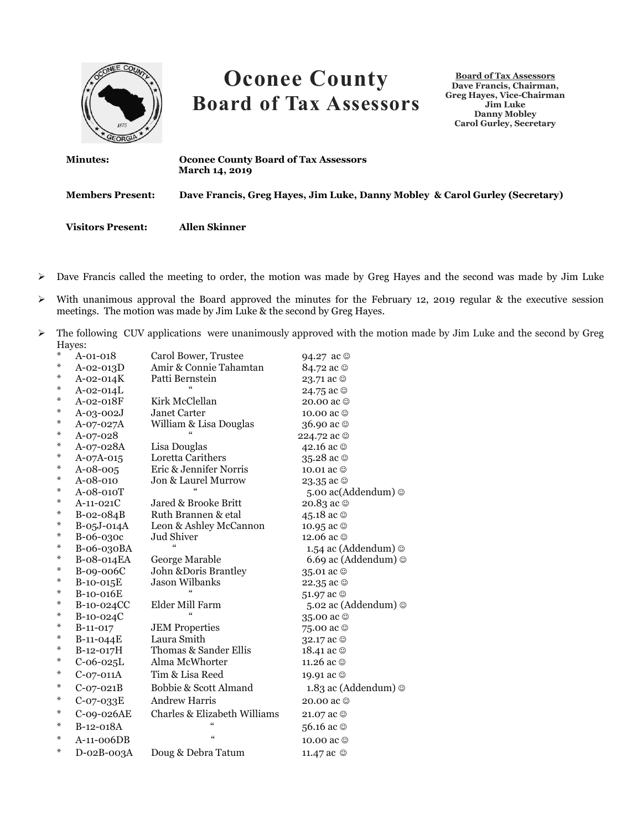

- Dave Francis called the meeting to order, the motion was made by Greg Hayes and the second was made by Jim Luke
- $\triangleright$  With unanimous approval the Board approved the minutes for the February 12, 2019 regular & the executive session meetings. The motion was made by Jim Luke & the second by Greg Hayes.
- $\triangleright$  The following CUV applications were unanimously approved with the motion made by Jim Luke and the second by Greg Hayes:

| ⋇ | A-01-018        | Carol Bower, Trustee         | 94.27 ac ©                        |
|---|-----------------|------------------------------|-----------------------------------|
| ⋇ | $A - 02 - 013D$ | Amir & Connie Tahamtan       | 84.72 ac ©                        |
| ⋇ | $A - 02 - 014K$ | Patti Bernstein              | 23.71 ac ©                        |
| ⋇ | $A - 02 - 014L$ |                              | 24.75 ac ☺                        |
| ⋇ | A-02-018F       | Kirk McClellan               | 20.00 ac ©                        |
| ⋇ | A-03-002J       | Janet Carter                 | 10.00 ac ©                        |
| ⋇ | A-07-027A       | William & Lisa Douglas       | 36.90 ac ©                        |
| ⋇ | A-07-028        |                              | 224.72 ac ©                       |
| ⋇ | A-07-028A       | Lisa Douglas                 | 42.16 ac ©                        |
| ⋇ | $A-07A-015$     | Loretta Carithers            | 35.28 ac ©                        |
| ⋇ | $A - 08 - 005$  | Eric & Jennifer Norris       | 10.01 ac ©                        |
| ⋇ | A-08-010        | Jon & Laurel Murrow          | 23.35 ac ©                        |
| ⋇ | A-08-010T       |                              | 5.00 ac(Addendum) ©               |
| ⋇ | $A-11-021C$     | Jared & Brooke Britt         | 20.83 ac ©                        |
| ⋇ | B-02-084B       | Ruth Brannen & etal          | 45.18 ac ©                        |
| ⋇ | B-05J-014A      | Leon & Ashley McCannon       | 10.95 ac ©                        |
| ⋇ | B-06-030c       | <b>Jud Shiver</b>            | 12.06 ac ©                        |
| ⋇ | B-06-030BA      |                              | 1.54 ac (Addendum) $\odot$        |
| ⋇ | B-08-014EA      | George Marable               | 6.69 ac (Addendum) @              |
| ⋇ | B-09-006C       | John & Doris Brantley        | 35.01 ac ☺                        |
| ⋇ | B-10-015E       | <b>Jason Wilbanks</b>        | 22.35 ac ©                        |
| ⋇ | B-10-016E       |                              | 51.97 ac ©                        |
| ⋇ | B-10-024CC      | Elder Mill Farm              | 5.02 ac (Addendum) ©              |
| ⋇ | $B-10-024C$     |                              | 35.00 ac ☺                        |
| ⋇ | B-11-017        | <b>JEM Properties</b>        | 75.00 ac ☺                        |
| ⋇ | $B-11-O44E$     | Laura Smith                  | 32.17 ac ©                        |
| ⋇ | B-12-017H       | Thomas & Sander Ellis        | 18.41 ac $\circledcirc$           |
| ⋇ | $C-06-025L$     | Alma McWhorter               | 11.26 ac ©                        |
| ⋇ | $C-07-011A$     | Tim & Lisa Reed              | 19.91 ac ©                        |
| ⋇ | $C-07-021B$     | Bobbie & Scott Almand        | 1.83 ac (Addendum) $\circledcirc$ |
| ⋇ | $C-07-033E$     | Andrew Harris                | 20.00 ac ©                        |
| ⋇ | C-09-026AE      | Charles & Elizabeth Williams | 21.07 ac ©                        |
| ⋇ | B-12-018A       | $\alpha$                     | 56.16 ac ©                        |
| ⋇ | $A-11-006DB$    | $\epsilon$                   | 10.00 ac ©                        |
| ⋇ | D-02B-003A      | Doug & Debra Tatum           | 11.47 ac ©                        |
|   |                 |                              |                                   |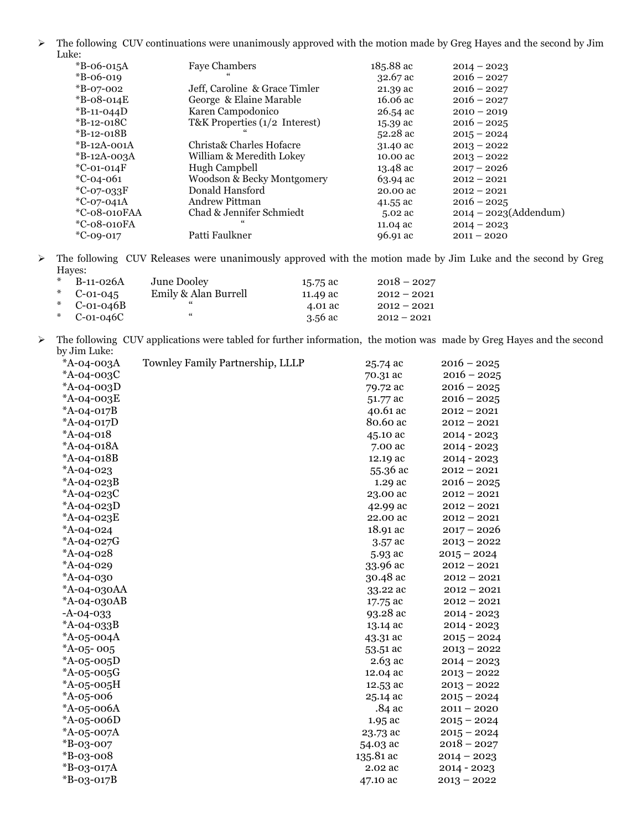> The following CUV continuations were unanimously approved with the motion made by Greg Hayes and the second by Jim Luke:

| $*B$ -06-015A    | <b>Faye Chambers</b>          | 185.88 ac          | $2014 - 2023$            |
|------------------|-------------------------------|--------------------|--------------------------|
| $*B-06-019$      |                               | $32.67$ ac         | $2016 - 2027$            |
| $*B-07-002$      | Jeff, Caroline & Grace Timler | 21.39 ac           | $2016 - 2027$            |
| $*B$ -08-014 $E$ | George & Elaine Marable       | 16.06 ac           | $2016 - 2027$            |
| $*B-11-044D$     | Karen Campodonico             | 26.54 ac           | $2010 - 2019$            |
| $*B-12-018C$     | T&K Properties (1/2 Interest) | 15.39 ac           | $2016 - 2025$            |
| $*B-12-018B$     |                               | 52.28 ac           | $2015 - 2024$            |
| $*B-12A-001A$    | Christa& Charles Hofacre      | 31.40 ac           | $2013 - 2022$            |
| $*B-12A-003A$    | William & Meredith Lokey      | 10.00 ac           | $2013 - 2022$            |
| $^*$ C-01-014F   | Hugh Campbell                 | $13.48 \text{ ac}$ | $2017 - 2026$            |
| $*C-04-061$      | Woodson & Becky Montgomery    | 63.94 ac           | $2012 - 2021$            |
| $^*C-07-033F$    | Donald Hansford               | 20.00 ac           | $2012 - 2021$            |
| $^*C-07-041A$    | Andrew Pittman                | 41.55 ac           | $2016 - 2025$            |
| *C-08-010FAA     | Chad & Jennifer Schmiedt      | 5.02 ac            | $2014 - 2023$ (Addendum) |
| $*C-08-010FA$    |                               | 11.04 ac           | $2014 - 2023$            |
| $*C-09-017$      | Patti Faulkner                | 96.91 ac           | $2011 - 2020$            |
|                  |                               |                    |                          |

 The following CUV Releases were unanimously approved with the motion made by Jim Luke and the second by Greg Hayes:

| * $B-11-026A$  | June Dooley          | 15.75 ac | $2018 - 2027$ |
|----------------|----------------------|----------|---------------|
| * $C-01-045$   | Emily & Alan Burrell | 11.49 ac | $2012 - 2021$ |
| * $C$ -01-046B | "                    | 4.01 ac  | $2012 - 2021$ |
| * $C$ -01-046C | "                    | 3.56 ac  | $2012 - 2021$ |

 The following CUV applications were tabled for further information, the motion was made by Greg Hayes and the second by Jim Luke:

| *A-04-003A    | <b>Townley Family Partnership, LLLP</b> | 25.74 ac  | $2016 - 2025$ |
|---------------|-----------------------------------------|-----------|---------------|
| *A-04-003C    |                                         | 70.31 ac  | $2016 - 2025$ |
| *A-04-003D    |                                         | 79.72 ac  | $2016 - 2025$ |
| *A-04-003E    |                                         | 51.77 ac  | $2016 - 2025$ |
| *A-04-017B    |                                         | 40.61 ac  | $2012 - 2021$ |
| *A-04-017D    |                                         | 80.60 ac  | $2012 - 2021$ |
| *A-04-018     |                                         | 45.10 ac  | 2014 - 2023   |
| *A-04-018A    |                                         | 7.00 ac   | 2014 - 2023   |
| *A-04-018B    |                                         | 12.19 ac  | 2014 - 2023   |
| $*A-04-023$   |                                         | 55.36 ac  | $2012 - 2021$ |
| *A-04-023B    |                                         | 1.29 ac   | $2016 - 2025$ |
| *A-04-023C    |                                         | 23.00 ac  | $2012 - 2021$ |
| * $A-04-023D$ |                                         | 42.99 ac  | $2012 - 2021$ |
| *A-04-023E    |                                         | 22.00 ac  | $2012 - 2021$ |
| *A-04-024     |                                         | 18.91 ac  | $2017 - 2026$ |
| *A-04-027G    |                                         | 3.57 ac   | $2013 - 2022$ |
| * $A-04-028$  |                                         | 5.93 ac   | $2015 - 2024$ |
| *A-04-029     |                                         | 33.96 ac  | $2012 - 2021$ |
| *A-04-030     |                                         | 30.48 ac  | $2012 - 2021$ |
| *A-04-030AA   |                                         | 33.22 ac  | $2012 - 2021$ |
| *A-04-030AB   |                                         | 17.75 ac  | $2012 - 2021$ |
| $-A-04-033$   |                                         | 93.28 ac  | 2014 - 2023   |
| *A-04-033B    |                                         | 13.14 ac  | 2014 - 2023   |
| *A-05-004A    |                                         | 43.31 ac  | $2015 - 2024$ |
| $*A-05-005$   |                                         | 53.51 ac  | $2013 - 2022$ |
| * $A-05-005D$ |                                         | 2.63 ac   | $2014 - 2023$ |
| *A-05-005G    |                                         | 12.04 ac  | $2013 - 2022$ |
| $*A-05-005H$  |                                         | 12.53 ac  | $2013 - 2022$ |
| *A-05-006     |                                         | 25.14 ac  | $2015 - 2024$ |
| *A-05-006A    |                                         | .84 ac    | $2011 - 2020$ |
| * $A-05-006D$ |                                         | 1.95 ac   | $2015 - 2024$ |
| *A-05-007A    |                                         | 23.73 ac  | $2015 - 2024$ |
| $*B-03-007$   |                                         | 54.03 ac  | $2018 - 2027$ |
| $*B-03-008$   |                                         | 135.81 ac | $2014 - 2023$ |
| *B-03-017A    |                                         | 2.02 ac   | $2014 - 2023$ |
| $*B-03-017B$  |                                         | 47.10 ac  | $2013 - 2022$ |